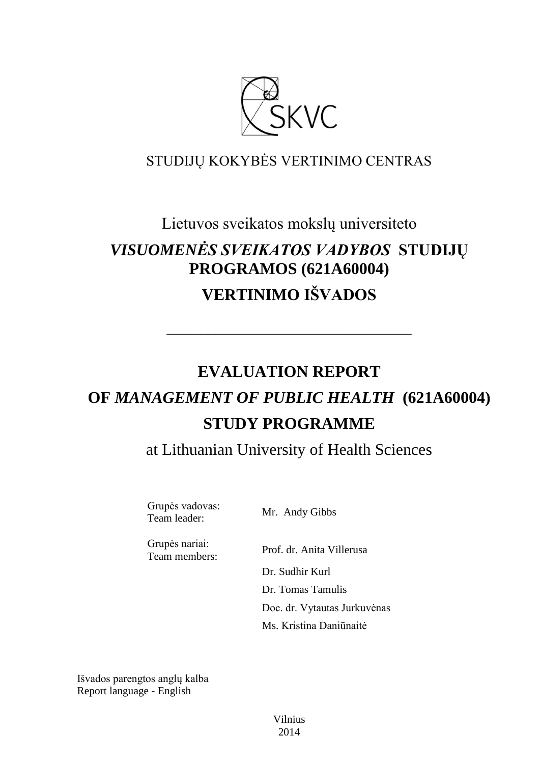

# STUDIJŲ KOKYBĖS VERTINIMO CENTRAS

# Lietuvos sveikatos mokslų universiteto *VISUOMENĖS SVEIKATOS VADYBOS* **STUDIJŲ PROGRAMOS (621A60004) VERTINIMO IŠVADOS**

# **EVALUATION REPORT OF** *MANAGEMENT OF PUBLIC HEALTH* **(621A60004) STUDY PROGRAMME**

––––––––––––––––––––––––––––––

at Lithuanian University of Health Sciences

Grupės vadovas: Supes values.<br>Team leader: Mr. Andy Gibbs

Grupės nariai: Team members: Prof. dr. Anita Villerusa

Dr. Sudhir Kurl Dr. Tomas Tamulis Doc. dr. Vytautas Jurkuvėnas Ms. Kristina Daniūnaitė

Išvados parengtos anglų kalba Report language - English

> Vilnius 2014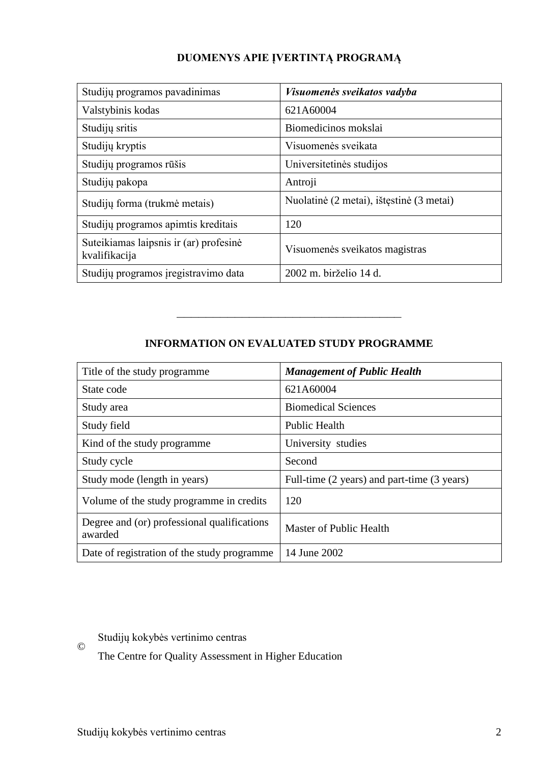# **DUOMENYS APIE ĮVERTINTĄ PROGRAMĄ**

| Studijų programos pavadinimas                           | Visuomenės sveikatos vadyba              |
|---------------------------------------------------------|------------------------------------------|
| Valstybinis kodas                                       | 621A60004                                |
| Studijų sritis                                          | Biomedicinos mokslai                     |
| Studijų kryptis                                         | Visuomenės sveikata                      |
| Studijų programos rūšis                                 | Universitetinės studijos                 |
| Studijų pakopa                                          | Antroji                                  |
| Studijų forma (trukmė metais)                           | Nuolatinė (2 metai), ištęstinė (3 metai) |
| Studijų programos apimtis kreditais                     | 120                                      |
| Suteikiamas laipsnis ir (ar) profesinė<br>kvalifikacija | Visuomenės sveikatos magistras           |
| Studijų programos įregistravimo data                    | 2002 m. birželio 14 d.                   |

# **INFORMATION ON EVALUATED STUDY PROGRAMME**

–––––––––––––––––––––––––––––––

| Title of the study programme                           | <b>Management of Public Health</b>          |
|--------------------------------------------------------|---------------------------------------------|
| State code                                             | 621A60004                                   |
| Study area                                             | <b>Biomedical Sciences</b>                  |
| Study field                                            | <b>Public Health</b>                        |
| Kind of the study programme                            | University studies                          |
| Study cycle                                            | Second                                      |
| Study mode (length in years)                           | Full-time (2 years) and part-time (3 years) |
| Volume of the study programme in credits               | 120                                         |
| Degree and (or) professional qualifications<br>awarded | Master of Public Health                     |
| Date of registration of the study programme            | 14 June 2002                                |

Studijų kokybės vertinimo centras

The Centre for Quality Assessment in Higher Education

©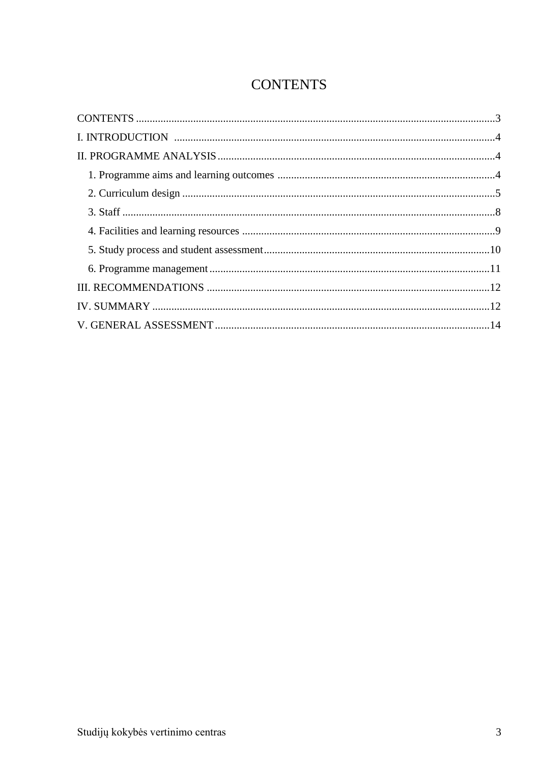# **CONTENTS**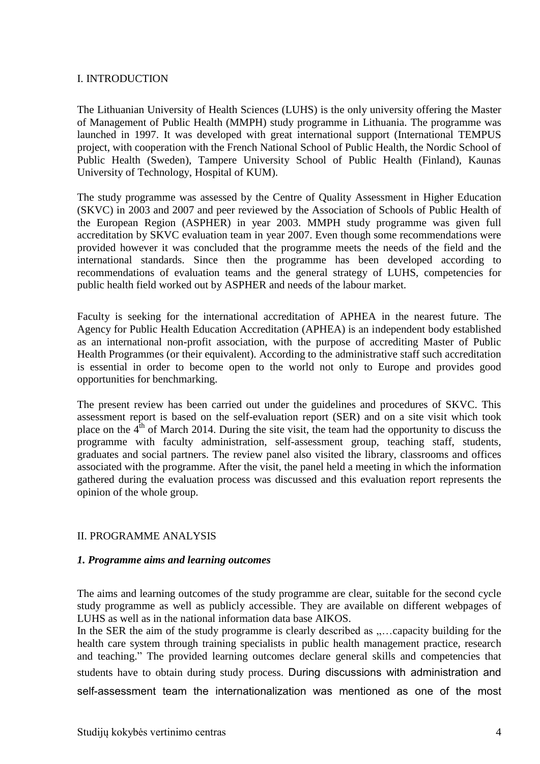#### I. INTRODUCTION

The Lithuanian University of Health Sciences (LUHS) is the only university offering the Master of Management of Public Health (MMPH) study programme in Lithuania. The programme was launched in 1997. It was developed with great international support (International TEMPUS project, with cooperation with the French National School of Public Health, the Nordic School of Public Health (Sweden), Tampere University School of Public Health (Finland), Kaunas University of Technology, Hospital of KUM).

The study programme was assessed by the Centre of Quality Assessment in Higher Education (SKVC) in 2003 and 2007 and peer reviewed by the Association of Schools of Public Health of the European Region (ASPHER) in year 2003. MMPH study programme was given full accreditation by SKVC evaluation team in year 2007. Even though some recommendations were provided however it was concluded that the programme meets the needs of the field and the international standards. Since then the programme has been developed according to recommendations of evaluation teams and the general strategy of LUHS, competencies for public health field worked out by ASPHER and needs of the labour market.

Faculty is seeking for the international accreditation of APHEA in the nearest future. The Agency for Public Health Education Accreditation (APHEA) is an independent body established as an international non-profit association, with the purpose of accrediting Master of Public Health Programmes (or their equivalent). According to the administrative staff such accreditation is essential in order to become open to the world not only to Europe and provides good opportunities for benchmarking.

The present review has been carried out under the guidelines and procedures of SKVC. This assessment report is based on the self-evaluation report (SER) and on a site visit which took place on the  $4<sup>th</sup>$  of March 2014. During the site visit, the team had the opportunity to discuss the programme with faculty administration, self-assessment group, teaching staff, students, graduates and social partners. The review panel also visited the library, classrooms and offices associated with the programme. After the visit, the panel held a meeting in which the information gathered during the evaluation process was discussed and this evaluation report represents the opinion of the whole group.

#### II. PROGRAMME ANALYSIS

#### *1. Programme aims and learning outcomes*

The aims and learning outcomes of the study programme are clear, suitable for the second cycle study programme as well as publicly accessible. They are available on different webpages of LUHS as well as in the national information data base AIKOS.

In the SER the aim of the study programme is clearly described as ,.... capacity building for the health care system through training specialists in public health management practice, research and teaching." The provided learning outcomes declare general skills and competencies that students have to obtain during study process. During discussions with administration and self-assessment team the internationalization was mentioned as one of the most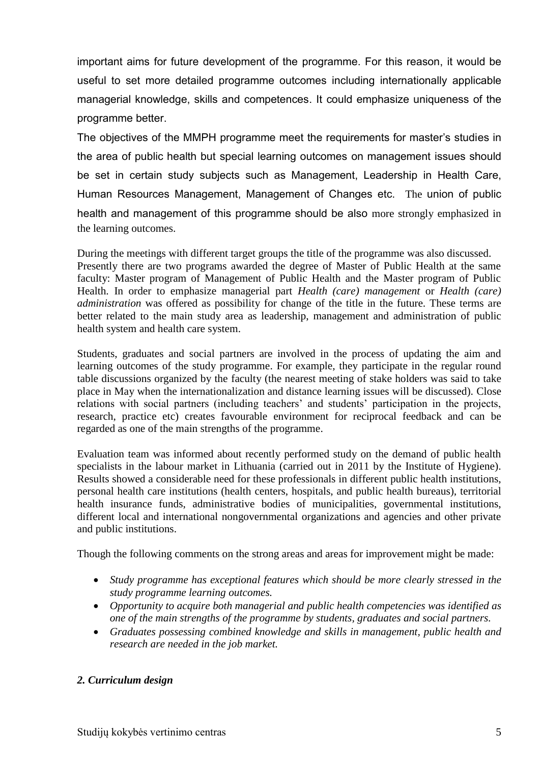important aims for future development of the programme. For this reason, it would be useful to set more detailed programme outcomes including internationally applicable managerial knowledge, skills and competences. It could emphasize uniqueness of the programme better.

The objectives of the MMPH programme meet the requirements for master's studies in the area of public health but special learning outcomes on management issues should be set in certain study subjects such as Management, Leadership in Health Care, Human Resources Management, Management of Changes etc. The union of public health and management of this programme should be also more strongly emphasized in the learning outcomes.

During the meetings with different target groups the title of the programme was also discussed. Presently there are two programs awarded the degree of Master of Public Health at the same faculty: Master program of Management of Public Health and the Master program of Public Health. In order to emphasize managerial part *Health (care) management* or *Health (care) administration* was offered as possibility for change of the title in the future. These terms are better related to the main study area as leadership, management and administration of public health system and health care system.

Students, graduates and social partners are involved in the process of updating the aim and learning outcomes of the study programme. For example, they participate in the regular round table discussions organized by the faculty (the nearest meeting of stake holders was said to take place in May when the internationalization and distance learning issues will be discussed). Close relations with social partners (including teachers' and students' participation in the projects, research, practice etc) creates favourable environment for reciprocal feedback and can be regarded as one of the main strengths of the programme.

Evaluation team was informed about recently performed study on the demand of public health specialists in the labour market in Lithuania (carried out in 2011 by the Institute of Hygiene). Results showed a considerable need for these professionals in different public health institutions, personal health care institutions (health centers, hospitals, and public health bureaus), territorial health insurance funds, administrative bodies of municipalities, governmental institutions, different local and international nongovernmental organizations and agencies and other private and public institutions.

Though the following comments on the strong areas and areas for improvement might be made:

- *Study programme has exceptional features which should be more clearly stressed in the study programme learning outcomes.*
- *Opportunity to acquire both managerial and public health competencies was identified as one of the main strengths of the programme by students, graduates and social partners.*
- *Graduates possessing combined knowledge and skills in management, public health and research are needed in the job market.*

## *2. Curriculum design*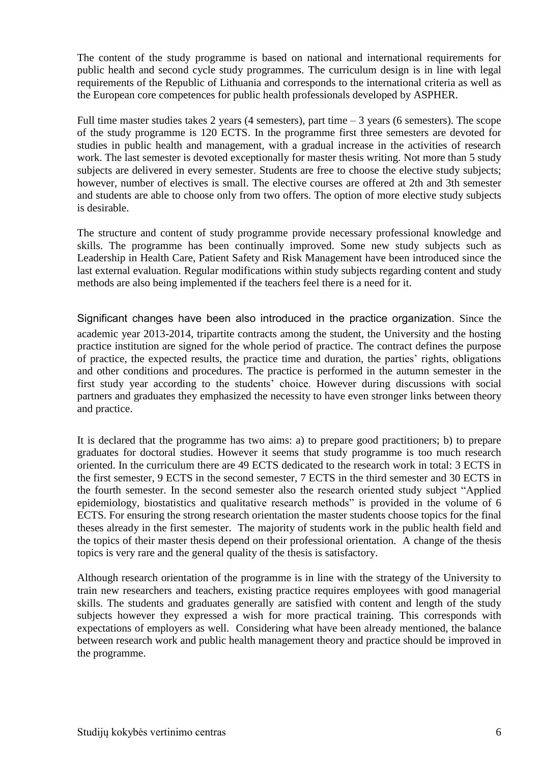The content of the study programme is based on national and international requirements for public health and second cycle study programmes. The curriculum design is in line with legal requirements of the Republic of Lithuania and corresponds to the international criteria as well as the European core competences for public health professionals developed by ASPHER.

Full time master studies takes 2 years (4 semesters), part time  $-3$  years (6 semesters). The scope of the study programme is 120 ECTS. In the programme first three semesters are devoted for studies in public health and management, with a gradual increase in the activities of research work. The last semester is devoted exceptionally for master thesis writing. Not more than 5 study subjects are delivered in every semester. Students are free to choose the elective study subjects; however, number of electives is small. The elective courses are offered at 2th and 3th semester and students are able to choose only from two offers. The option of more elective study subjects is desirable.

The structure and content of study programme provide necessary professional knowledge and skills. The programme has been continually improved. Some new study subjects such as Leadership in Health Care, Patient Safety and Risk Management have been introduced since the last external evaluation. Regular modifications within study subjects regarding content and study methods are also being implemented if the teachers feel there is a need for it.

Significant changes have been also introduced in the practice organization. Since the academic year 2013-2014, tripartite contracts among the student, the University and the hosting practice institution are signed for the whole period of practice. The contract defines the purpose of practice, the expected results, the practice time and duration, the parties" rights, obligations and other conditions and procedures. The practice is performed in the autumn semester in the first study year according to the students" choice. However during discussions with social partners and graduates they emphasized the necessity to have even stronger links between theory and practice.

It is declared that the programme has two aims: a) to prepare good practitioners; b) to prepare graduates for doctoral studies. However it seems that study programme is too much research oriented. In the curriculum there are 49 ECTS dedicated to the research work in total: 3 ECTS in the first semester, 9 ECTS in the second semester, 7 ECTS in the third semester and 30 ECTS in the fourth semester. In the second semester also the research oriented study subject "Applied epidemiology, biostatistics and qualitative research methods" is provided in the volume of 6 ECTS. For ensuring the strong research orientation the master students choose topics for the final theses already in the first semester. The majority of students work in the public health field and the topics of their master thesis depend on their professional orientation. A change of the thesis topics is very rare and the general quality of the thesis is satisfactory.

Although research orientation of the programme is in line with the strategy of the University to train new researchers and teachers, existing practice requires employees with good managerial skills. The students and graduates generally are satisfied with content and length of the study subjects however they expressed a wish for more practical training. This corresponds with expectations of employers as well.Considering what have been already mentioned, the balance between research work and public health management theory and practice should be improved in the programme.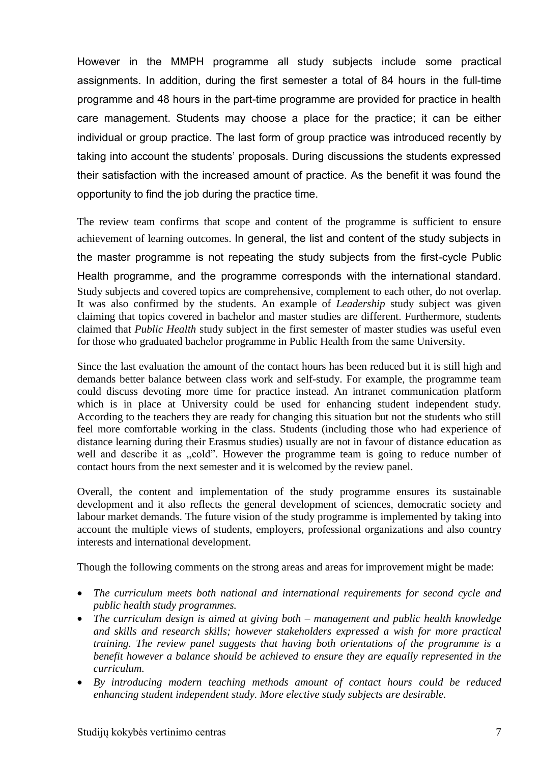However in the MMPH programme all study subjects include some practical assignments. In addition, during the first semester a total of 84 hours in the full-time programme and 48 hours in the part-time programme are provided for practice in health care management. Students may choose a place for the practice; it can be either individual or group practice. The last form of group practice was introduced recently by taking into account the students' proposals. During discussions the students expressed their satisfaction with the increased amount of practice. As the benefit it was found the opportunity to find the job during the practice time.

The review team confirms that scope and content of the programme is sufficient to ensure achievement of learning outcomes. In general, the list and content of the study subjects in the master programme is not repeating the study subjects from the first-cycle Public Health programme, and the programme corresponds with the international standard. Study subjects and covered topics are comprehensive, complement to each other, do not overlap. It was also confirmed by the students. An example of *Leadership* study subject was given claiming that topics covered in bachelor and master studies are different. Furthermore, students claimed that *Public Health* study subject in the first semester of master studies was useful even for those who graduated bachelor programme in Public Health from the same University.

Since the last evaluation the amount of the contact hours has been reduced but it is still high and demands better balance between class work and self-study. For example, the programme team could discuss devoting more time for practice instead. An intranet communication platform which is in place at University could be used for enhancing student independent study. According to the teachers they are ready for changing this situation but not the students who still feel more comfortable working in the class. Students (including those who had experience of distance learning during their Erasmus studies) usually are not in favour of distance education as well and describe it as "cold". However the programme team is going to reduce number of contact hours from the next semester and it is welcomed by the review panel.

Overall, the content and implementation of the study programme ensures its sustainable development and it also reflects the general development of sciences, democratic society and labour market demands. The future vision of the study programme is implemented by taking into account the multiple views of students, employers, professional organizations and also country interests and international development.

Though the following comments on the strong areas and areas for improvement might be made:

- *The curriculum meets both national and international requirements for second cycle and public health study programmes.*
- *The curriculum design is aimed at giving both – management and public health knowledge and skills and research skills; however stakeholders expressed a wish for more practical training. The review panel suggests that having both orientations of the programme is a benefit however a balance should be achieved to ensure they are equally represented in the curriculum.*
- *By introducing modern teaching methods amount of contact hours could be reduced enhancing student independent study. More elective study subjects are desirable.*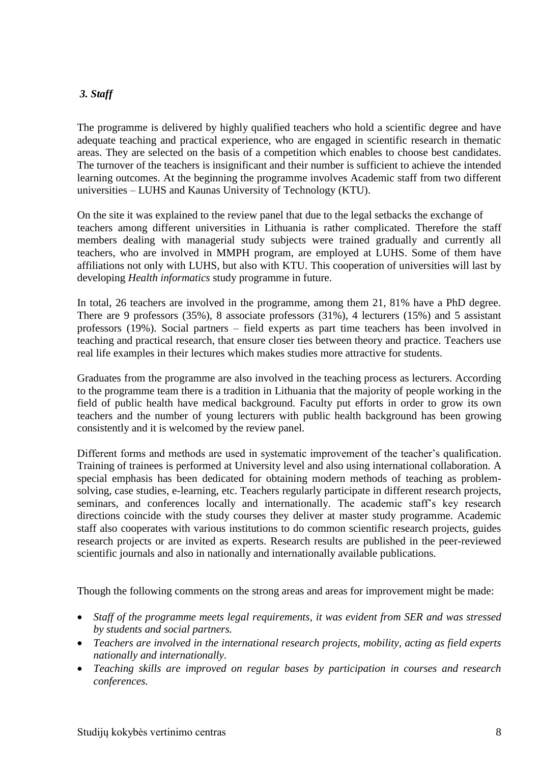## *3. Staff*

The programme is delivered by highly qualified teachers who hold a scientific degree and have adequate teaching and practical experience, who are engaged in scientific research in thematic areas. They are selected on the basis of a competition which enables to choose best candidates. The turnover of the teachers is insignificant and their number is sufficient to achieve the intended learning outcomes. At the beginning the programme involves Academic staff from two different universities – LUHS and Kaunas University of Technology (KTU).

On the site it was explained to the review panel that due to the legal setbacks the exchange of teachers among different universities in Lithuania is rather complicated. Therefore the staff members dealing with managerial study subjects were trained gradually and currently all teachers, who are involved in MMPH program, are employed at LUHS. Some of them have affiliations not only with LUHS, but also with KTU. This cooperation of universities will last by developing *Health informatics* study programme in future.

In total, 26 teachers are involved in the programme, among them 21, 81% have a PhD degree. There are 9 professors (35%), 8 associate professors (31%), 4 lecturers (15%) and 5 assistant professors (19%). Social partners – field experts as part time teachers has been involved in teaching and practical research, that ensure closer ties between theory and practice. Teachers use real life examples in their lectures which makes studies more attractive for students.

Graduates from the programme are also involved in the teaching process as lecturers. According to the programme team there is a tradition in Lithuania that the majority of people working in the field of public health have medical background. Faculty put efforts in order to grow its own teachers and the number of young lecturers with public health background has been growing consistently and it is welcomed by the review panel.

Different forms and methods are used in systematic improvement of the teacher's qualification. Training of trainees is performed at University level and also using international collaboration. A special emphasis has been dedicated for obtaining modern methods of teaching as problemsolving, case studies, e-learning, etc. Teachers regularly participate in different research projects, seminars, and conferences locally and internationally. The academic staff"s key research directions coincide with the study courses they deliver at master study programme. Academic staff also cooperates with various institutions to do common scientific research projects, guides research projects or are invited as experts. Research results are published in the peer-reviewed scientific journals and also in nationally and internationally available publications.

Though the following comments on the strong areas and areas for improvement might be made:

- *Staff of the programme meets legal requirements, it was evident from SER and was stressed by students and social partners.*
- *Teachers are involved in the international research projects, mobility, acting as field experts nationally and internationally.*
- *Teaching skills are improved on regular bases by participation in courses and research conferences.*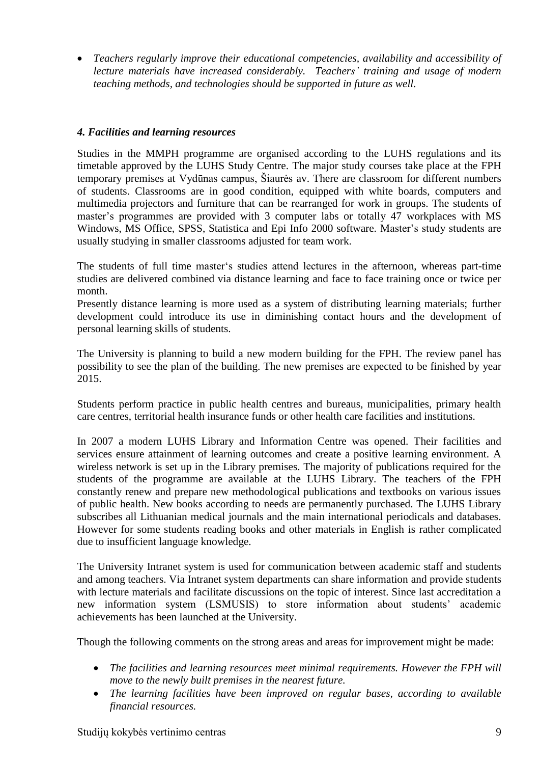*Teachers regularly improve their educational competencies, availability and accessibility of lecture materials have increased considerably. Teachers' training and usage of modern teaching methods, and technologies should be supported in future as well.* 

#### *4. Facilities and learning resources*

Studies in the MMPH programme are organised according to the LUHS regulations and its timetable approved by the LUHS Study Centre. The major study courses take place at the FPH temporary premises at Vydūnas campus, Šiaurės av. There are classroom for different numbers of students. Classrooms are in good condition, equipped with white boards, computers and multimedia projectors and furniture that can be rearranged for work in groups. The students of master's programmes are provided with 3 computer labs or totally 47 workplaces with MS Windows, MS Office, SPSS, Statistica and Epi Info 2000 software. Master's study students are usually studying in smaller classrooms adjusted for team work.

The students of full time master"s studies attend lectures in the afternoon, whereas part-time studies are delivered combined via distance learning and face to face training once or twice per month.

Presently distance learning is more used as a system of distributing learning materials; further development could introduce its use in diminishing contact hours and the development of personal learning skills of students.

The University is planning to build a new modern building for the FPH. The review panel has possibility to see the plan of the building. The new premises are expected to be finished by year 2015.

Students perform practice in public health centres and bureaus, municipalities, primary health care centres, territorial health insurance funds or other health care facilities and institutions.

In 2007 a modern LUHS Library and Information Centre was opened. Their facilities and services ensure attainment of learning outcomes and create a positive learning environment. A wireless network is set up in the Library premises. The majority of publications required for the students of the programme are available at the LUHS Library. The teachers of the FPH constantly renew and prepare new methodological publications and textbooks on various issues of public health. New books according to needs are permanently purchased. The LUHS Library subscribes all Lithuanian medical journals and the main international periodicals and databases. However for some students reading books and other materials in English is rather complicated due to insufficient language knowledge.

The University Intranet system is used for communication between academic staff and students and among teachers. Via Intranet system departments can share information and provide students with lecture materials and facilitate discussions on the topic of interest. Since last accreditation a new information system (LSMUSIS) to store information about students' academic achievements has been launched at the University.

Though the following comments on the strong areas and areas for improvement might be made:

- *The facilities and learning resources meet minimal requirements. However the FPH will move to the newly built premises in the nearest future.*
- *The learning facilities have been improved on regular bases, according to available financial resources.*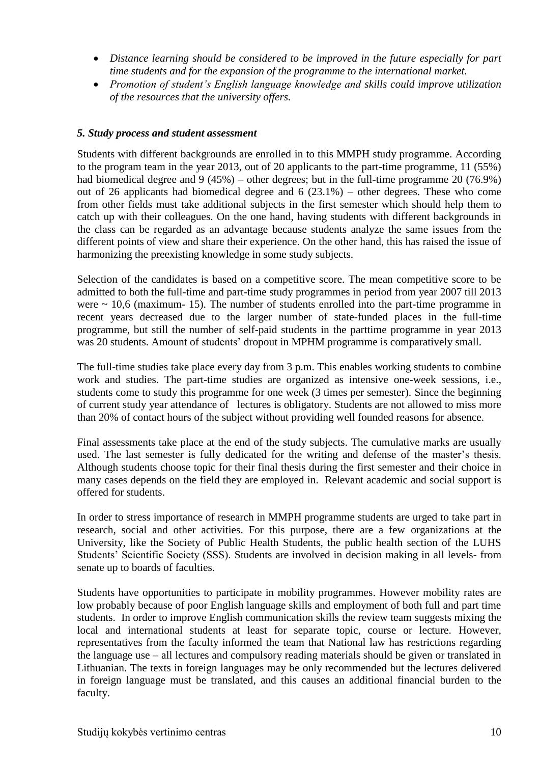- *Distance learning should be considered to be improved in the future especially for part time students and for the expansion of the programme to the international market.*
- *Promotion of student's English language knowledge and skills could improve utilization of the resources that the university offers.*

#### *5. Study process and student assessment*

Students with different backgrounds are enrolled in to this MMPH study programme. According to the program team in the year 2013, out of 20 applicants to the part-time programme, 11 (55%) had biomedical degree and 9 (45%) – other degrees; but in the full-time programme 20 (76.9%) out of 26 applicants had biomedical degree and 6 (23.1%) – other degrees. These who come from other fields must take additional subjects in the first semester which should help them to catch up with their colleagues. On the one hand, having students with different backgrounds in the class can be regarded as an advantage because students analyze the same issues from the different points of view and share their experience. On the other hand, this has raised the issue of harmonizing the preexisting knowledge in some study subjects.

Selection of the candidates is based on a competitive score. The mean competitive score to be admitted to both the full-time and part-time study programmes in period from year 2007 till 2013 were  $\sim$  10.6 (maximum- 15). The number of students enrolled into the part-time programme in recent years decreased due to the larger number of state-funded places in the full-time programme, but still the number of self-paid students in the parttime programme in year 2013 was 20 students. Amount of students' dropout in MPHM programme is comparatively small.

The full-time studies take place every day from 3 p.m. This enables working students to combine work and studies. The part-time studies are organized as intensive one-week sessions, i.e., students come to study this programme for one week (3 times per semester). Since the beginning of current study year attendance of lectures is obligatory. Students are not allowed to miss more than 20% of contact hours of the subject without providing well founded reasons for absence.

Final assessments take place at the end of the study subjects. The cumulative marks are usually used. The last semester is fully dedicated for the writing and defense of the master's thesis. Although students choose topic for their final thesis during the first semester and their choice in many cases depends on the field they are employed in. Relevant academic and social support is offered for students.

In order to stress importance of research in MMPH programme students are urged to take part in research, social and other activities. For this purpose, there are a few organizations at the University, like the Society of Public Health Students, the public health section of the LUHS Students" Scientific Society (SSS). Students are involved in decision making in all levels- from senate up to boards of faculties.

Students have opportunities to participate in mobility programmes. However mobility rates are low probably because of poor English language skills and employment of both full and part time students. In order to improve English communication skills the review team suggests mixing the local and international students at least for separate topic, course or lecture. However, representatives from the faculty informed the team that National law has restrictions regarding the language use – all lectures and compulsory reading materials should be given or translated in Lithuanian. The texts in foreign languages may be only recommended but the lectures delivered in foreign language must be translated, and this causes an additional financial burden to the faculty.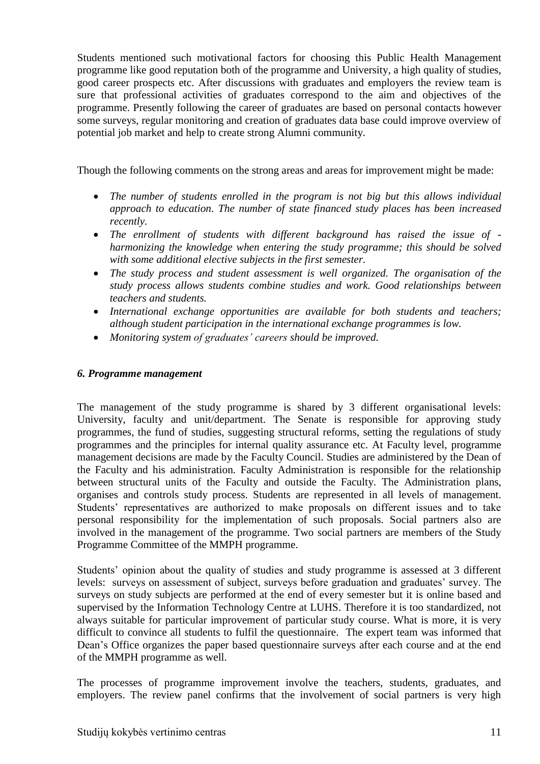Students mentioned such motivational factors for choosing this Public Health Management programme like good reputation both of the programme and University, a high quality of studies, good career prospects etc. After discussions with graduates and employers the review team is sure that professional activities of graduates correspond to the aim and objectives of the programme. Presently following the career of graduates are based on personal contacts however some surveys, regular monitoring and creation of graduates data base could improve overview of potential job market and help to create strong Alumni community.

Though the following comments on the strong areas and areas for improvement might be made:

- *The number of students enrolled in the program is not big but this allows individual approach to education. The number of state financed study places has been increased recently.*
- *The enrollment of students with different background has raised the issue of harmonizing the knowledge when entering the study programme; this should be solved with some additional elective subjects in the first semester.*
- *The study process and student assessment is well organized. The organisation of the study process allows students combine studies and work. Good relationships between teachers and students.*
- *International exchange opportunities are available for both students and teachers; although student participation in the international exchange programmes is low.*
- *Monitoring system of graduates' careers should be improved.*

#### *6. Programme management*

The management of the study programme is shared by 3 different organisational levels: University, faculty and unit/department. The Senate is responsible for approving study programmes, the fund of studies, suggesting structural reforms, setting the regulations of study programmes and the principles for internal quality assurance etc. At Faculty level, programme management decisions are made by the Faculty Council. Studies are administered by the Dean of the Faculty and his administration. Faculty Administration is responsible for the relationship between structural units of the Faculty and outside the Faculty. The Administration plans, organises and controls study process. Students are represented in all levels of management. Students' representatives are authorized to make proposals on different issues and to take personal responsibility for the implementation of such proposals. Social partners also are involved in the management of the programme. Two social partners are members of the Study Programme Committee of the MMPH programme.

Students' opinion about the quality of studies and study programme is assessed at 3 different levels: surveys on assessment of subject, surveys before graduation and graduates' survey. The surveys on study subjects are performed at the end of every semester but it is online based and supervised by the Information Technology Centre at LUHS. Therefore it is too standardized, not always suitable for particular improvement of particular study course. What is more, it is very difficult to convince all students to fulfil the questionnaire. The expert team was informed that Dean"s Office organizes the paper based questionnaire surveys after each course and at the end of the MMPH programme as well.

The processes of programme improvement involve the teachers, students, graduates, and employers. The review panel confirms that the involvement of social partners is very high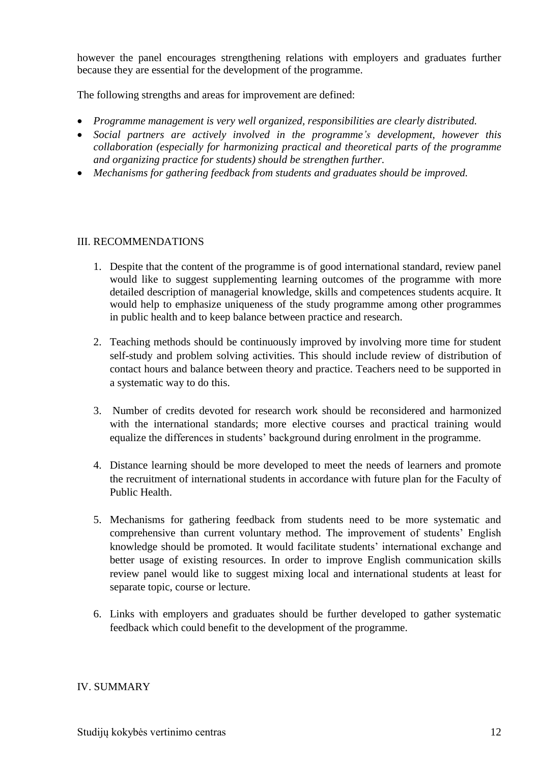however the panel encourages strengthening relations with employers and graduates further because they are essential for the development of the programme.

The following strengths and areas for improvement are defined:

- *Programme management is very well organized, responsibilities are clearly distributed.*
- *Social partners are actively involved in the programme's development, however this collaboration (especially for harmonizing practical and theoretical parts of the programme and organizing practice for students) should be strengthen further.*
- *Mechanisms for gathering feedback from students and graduates should be improved.*

#### III. RECOMMENDATIONS

- 1. Despite that the content of the programme is of good international standard, review panel would like to suggest supplementing learning outcomes of the programme with more detailed description of managerial knowledge, skills and competences students acquire. It would help to emphasize uniqueness of the study programme among other programmes in public health and to keep balance between practice and research.
- 2. Teaching methods should be continuously improved by involving more time for student self-study and problem solving activities. This should include review of distribution of contact hours and balance between theory and practice. Teachers need to be supported in a systematic way to do this.
- 3. Number of credits devoted for research work should be reconsidered and harmonized with the international standards; more elective courses and practical training would equalize the differences in students" background during enrolment in the programme.
- 4. Distance learning should be more developed to meet the needs of learners and promote the recruitment of international students in accordance with future plan for the Faculty of Public Health.
- 5. Mechanisms for gathering feedback from students need to be more systematic and comprehensive than current voluntary method. The improvement of students' English knowledge should be promoted. It would facilitate students" international exchange and better usage of existing resources. In order to improve English communication skills review panel would like to suggest mixing local and international students at least for separate topic, course or lecture.
- 6. Links with employers and graduates should be further developed to gather systematic feedback which could benefit to the development of the programme.

#### IV. SUMMARY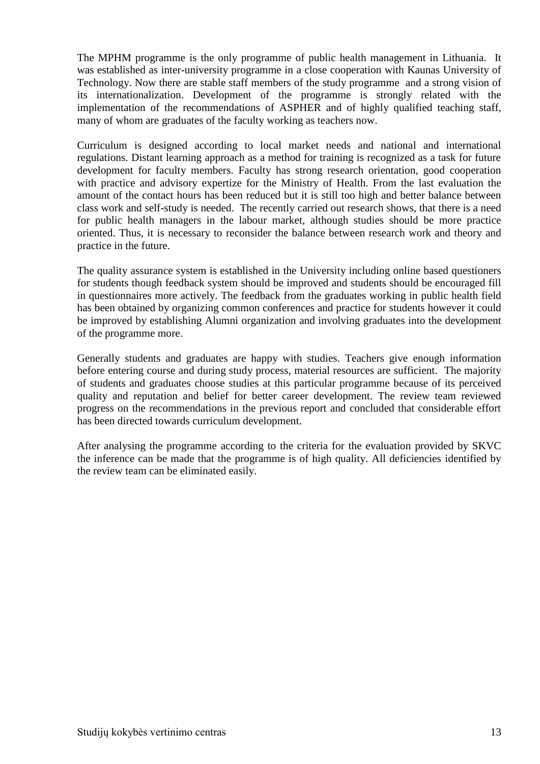The MPHM programme is the only programme of public health management in Lithuania. It was established as inter-university programme in a close cooperation with Kaunas University of Technology. Now there are stable staff members of the study programme and a strong vision of its internationalization. Development of the programme is strongly related with the implementation of the recommendations of ASPHER and of highly qualified teaching staff, many of whom are graduates of the faculty working as teachers now.

Curriculum is designed according to local market needs and national and international regulations. Distant learning approach as a method for training is recognized as a task for future development for faculty members. Faculty has strong research orientation, good cooperation with practice and advisory expertize for the Ministry of Health. From the last evaluation the amount of the contact hours has been reduced but it is still too high and better balance between class work and self-study is needed. The recently carried out research shows, that there is a need for public health managers in the labour market, although studies should be more practice oriented. Thus, it is necessary to reconsider the balance between research work and theory and practice in the future.

The quality assurance system is established in the University including online based questioners for students though feedback system should be improved and students should be encouraged fill in questionnaires more actively. The feedback from the graduates working in public health field has been obtained by organizing common conferences and practice for students however it could be improved by establishing Alumni organization and involving graduates into the development of the programme more.

Generally students and graduates are happy with studies. Teachers give enough information before entering course and during study process, material resources are sufficient. The majority of students and graduates choose studies at this particular programme because of its perceived quality and reputation and belief for better career development. The review team reviewed progress on the recommendations in the previous report and concluded that considerable effort has been directed towards curriculum development.

After analysing the programme according to the criteria for the evaluation provided by SKVC the inference can be made that the programme is of high quality. All deficiencies identified by the review team can be eliminated easily.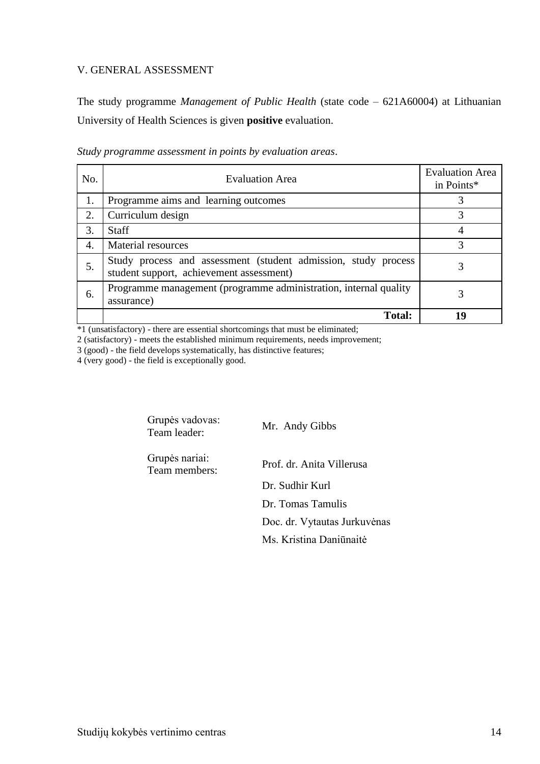### V. GENERAL ASSESSMENT

The study programme *Management of Public Health* (state code – 621A60004) at Lithuanian University of Health Sciences is given **positive** evaluation.

|  | Study programme assessment in points by evaluation areas. |  |  |
|--|-----------------------------------------------------------|--|--|
|  |                                                           |  |  |

| No. | <b>Evaluation Area</b>                                                                                     | <b>Evaluation Area</b><br>in Points* |
|-----|------------------------------------------------------------------------------------------------------------|--------------------------------------|
| 1.  | Programme aims and learning outcomes                                                                       |                                      |
| 2.  | Curriculum design                                                                                          | 3                                    |
| 3.  | <b>Staff</b>                                                                                               |                                      |
| 4.  | Material resources                                                                                         | 3                                    |
| 5.  | Study process and assessment (student admission, study process<br>student support, achievement assessment) |                                      |
| 6.  | Programme management (programme administration, internal quality<br>assurance)                             | 3                                    |
|     | <b>Total:</b>                                                                                              | 10                                   |

 $*1$  (unsatisfactory) - there are essential shortcomings that must be eliminated;

2 (satisfactory) - meets the established minimum requirements, needs improvement;

3 (good) - the field develops systematically, has distinctive features;

4 (very good) - the field is exceptionally good.

Grupės vadovas: Team leader: Mr. Andy Gibbs

Grupės nariai: Team members: Prof. dr. Anita Villerusa

Dr. Sudhir Kurl Dr. Tomas Tamulis Doc. dr. Vytautas Jurkuvėnas Ms. Kristina Daniūnaitė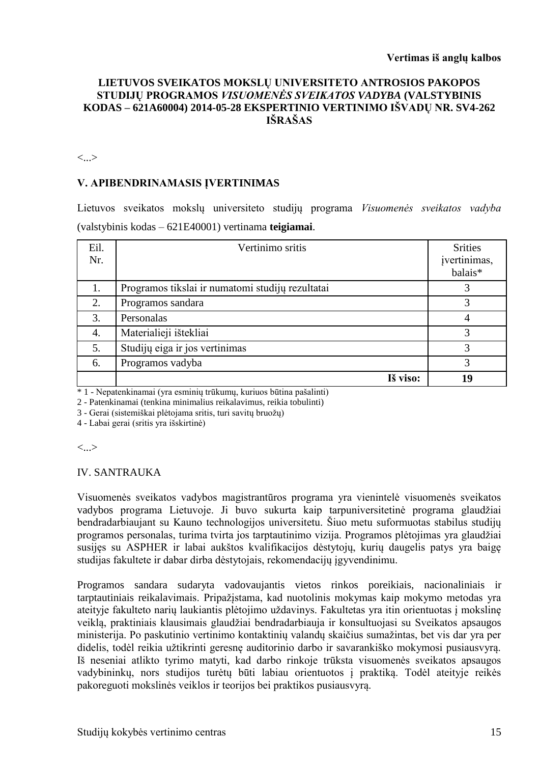#### **LIETUVOS SVEIKATOS MOKSLŲ UNIVERSITETO ANTROSIOS PAKOPOS STUDIJŲ PROGRAMOS** *VISUOMENĖS SVEIKATOS VADYBA* **(VALSTYBINIS KODAS – 621A60004) 2014-05-28 EKSPERTINIO VERTINIMO IŠVADŲ NR. SV4-262 IŠRAŠAS**

<...>

#### **V. APIBENDRINAMASIS ĮVERTINIMAS**

Lietuvos sveikatos mokslų universiteto studijų programa *Visuomenės sveikatos vadyba*  (valstybinis kodas – 621E40001) vertinama **teigiamai**.

| Eil.<br>Nr. | Vertinimo sritis                                 | <b>Srities</b><br>įvertinimas,<br>balais* |
|-------------|--------------------------------------------------|-------------------------------------------|
| 1.          | Programos tikslai ir numatomi studijų rezultatai |                                           |
| 2.          | Programos sandara                                |                                           |
| 3.          | Personalas                                       |                                           |
| 4.          | Materialieji ištekliai                           | 3                                         |
| 5.          | Studijų eiga ir jos vertinimas                   | 3                                         |
| 6.          | Programos vadyba                                 | 3                                         |
|             | Iš viso:                                         | 19                                        |

\* 1 - Nepatenkinamai (yra esminių trūkumų, kuriuos būtina pašalinti)

2 - Patenkinamai (tenkina minimalius reikalavimus, reikia tobulinti)

3 - Gerai (sistemiškai plėtojama sritis, turi savitų bruožų)

4 - Labai gerai (sritis yra išskirtinė)

<...>

#### IV. SANTRAUKA

Visuomenės sveikatos vadybos magistrantūros programa yra vienintelė visuomenės sveikatos vadybos programa Lietuvoje. Ji buvo sukurta kaip tarpuniversitetinė programa glaudžiai bendradarbiaujant su Kauno technologijos universitetu. Šiuo metu suformuotas stabilus studijų programos personalas, turima tvirta jos tarptautinimo vizija. Programos plėtojimas yra glaudžiai susijęs su ASPHER ir labai aukštos kvalifikacijos dėstytojų, kurių daugelis patys yra baigę studijas fakultete ir dabar dirba dėstytojais, rekomendacijų įgyvendinimu.

Programos sandara sudaryta vadovaujantis vietos rinkos poreikiais, nacionaliniais ir tarptautiniais reikalavimais. Pripažįstama, kad nuotolinis mokymas kaip mokymo metodas yra ateityje fakulteto narių laukiantis plėtojimo uždavinys. Fakultetas yra itin orientuotas į mokslinę veiklą, praktiniais klausimais glaudžiai bendradarbiauja ir konsultuojasi su Sveikatos apsaugos ministerija. Po paskutinio vertinimo kontaktinių valandų skaičius sumažintas, bet vis dar yra per didelis, todėl reikia užtikrinti geresnę auditorinio darbo ir savarankiško mokymosi pusiausvyrą. Iš neseniai atlikto tyrimo matyti, kad darbo rinkoje trūksta visuomenės sveikatos apsaugos vadybininkų, nors studijos turėtų būti labiau orientuotos į praktiką. Todėl ateityje reikės pakoreguoti mokslinės veiklos ir teorijos bei praktikos pusiausvyrą.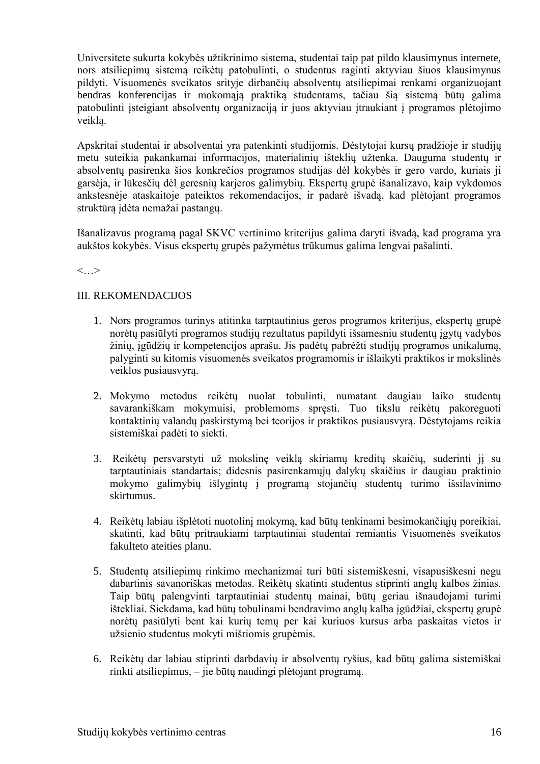Universitete sukurta kokybės užtikrinimo sistema, studentai taip pat pildo klausimynus internete, nors atsiliepimų sistemą reikėtų patobulinti, o studentus raginti aktyviau šiuos klausimynus pildyti. Visuomenės sveikatos srityje dirbančių absolventų atsiliepimai renkami organizuojant bendras konferencijas ir mokomąją praktiką studentams, tačiau šią sistemą būtų galima patobulinti įsteigiant absolventų organizaciją ir juos aktyviau įtraukiant į programos plėtojimo veiklą.

Apskritai studentai ir absolventai yra patenkinti studijomis. Dėstytojai kursų pradžioje ir studijų metu suteikia pakankamai informacijos, materialinių išteklių užtenka. Dauguma studentų ir absolventų pasirenka šios konkrečios programos studijas dėl kokybės ir gero vardo, kuriais ji garsėja, ir lūkesčių dėl geresnių karjeros galimybių. Ekspertų grupė išanalizavo, kaip vykdomos ankstesnėje ataskaitoje pateiktos rekomendacijos, ir padarė išvadą, kad plėtojant programos struktūrą įdėta nemažai pastangų.

Išanalizavus programą pagal SKVC vertinimo kriterijus galima daryti išvadą, kad programa yra aukštos kokybės. Visus ekspertų grupės pažymėtus trūkumus galima lengvai pašalinti.

 $\lt$ ...

### III. REKOMENDACIJOS

- 1. Nors programos turinys atitinka tarptautinius geros programos kriterijus, ekspertų grupė norėtų pasiūlyti programos studijų rezultatus papildyti išsamesniu studentų įgytų vadybos žinių, įgūdžių ir kompetencijos aprašu. Jis padėtų pabrėžti studijų programos unikalumą, palyginti su kitomis visuomenės sveikatos programomis ir išlaikyti praktikos ir mokslinės veiklos pusiausvyrą.
- 2. Mokymo metodus reikėtų nuolat tobulinti, numatant daugiau laiko studentų savarankiškam mokymuisi, problemoms spręsti. Tuo tikslu reikėtų pakoreguoti kontaktinių valandų paskirstymą bei teorijos ir praktikos pusiausvyrą. Dėstytojams reikia sistemiškai padėti to siekti.
- 3. Reikėtų persvarstyti už mokslinę veiklą skiriamų kreditų skaičių, suderinti jį su tarptautiniais standartais; didesnis pasirenkamųjų dalykų skaičius ir daugiau praktinio mokymo galimybių išlygintų į programą stojančių studentų turimo išsilavinimo skirtumus.
- 4. Reikėtų labiau išplėtoti nuotolinį mokymą, kad būtų tenkinami besimokančiųjų poreikiai, skatinti, kad būtų pritraukiami tarptautiniai studentai remiantis Visuomenės sveikatos fakulteto ateities planu.
- 5. Studentų atsiliepimų rinkimo mechanizmai turi būti sistemiškesni, visapusiškesni negu dabartinis savanoriškas metodas. Reikėtų skatinti studentus stiprinti anglų kalbos žinias. Taip būtų palengvinti tarptautiniai studentų mainai, būtų geriau išnaudojami turimi ištekliai. Siekdama, kad būtų tobulinami bendravimo anglų kalba įgūdžiai, ekspertų grupė norėtų pasiūlyti bent kai kurių temų per kai kuriuos kursus arba paskaitas vietos ir užsienio studentus mokyti mišriomis grupėmis.
- 6. Reikėtų dar labiau stiprinti darbdavių ir absolventų ryšius, kad būtų galima sistemiškai rinkti atsiliepimus, – jie būtų naudingi plėtojant programą.